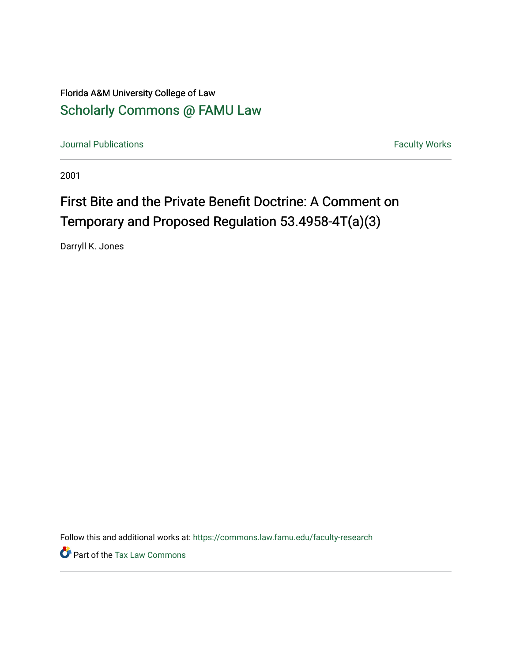Florida A&M University College of Law [Scholarly Commons @ FAMU Law](https://commons.law.famu.edu/) 

[Journal Publications](https://commons.law.famu.edu/faculty-research) **Faculty Works Journal Publications** 

2001

# First Bite and the Private Benefit Doctrine: A Comment on Temporary and Proposed Regulation 53.4958-4T(a)(3)

Darryll K. Jones

Follow this and additional works at: [https://commons.law.famu.edu/faculty-research](https://commons.law.famu.edu/faculty-research?utm_source=commons.law.famu.edu%2Ffaculty-research%2F370&utm_medium=PDF&utm_campaign=PDFCoverPages) 

Part of the [Tax Law Commons](https://network.bepress.com/hgg/discipline/898?utm_source=commons.law.famu.edu%2Ffaculty-research%2F370&utm_medium=PDF&utm_campaign=PDFCoverPages)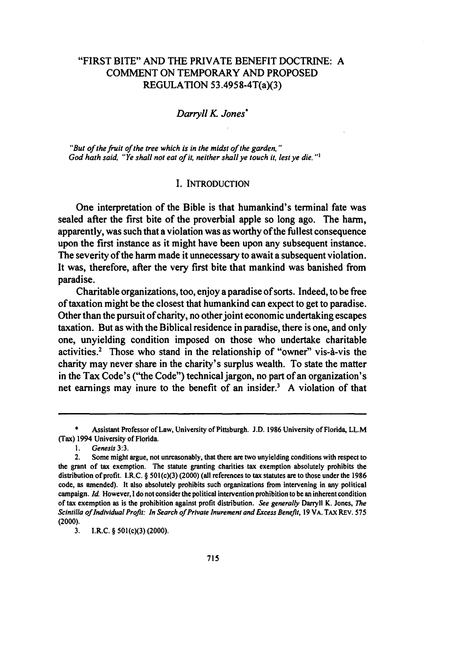# "FIRST BITE" AND THE PRIVATE BENEFIT DOCTRINE: A COMMENT ON TEMPORARY AND PROPOSED REGULATION 53.4958-4T(a)(3)

## *Darryll K Jones\**

"But of the fruit of the tree which is in the midst of the garden," God hath said, "Ye shall not eat of it, neither shall ye touch *it,* lest ye die.

#### I. INTRODUCTION

One interpretation of the Bible is that humankind's terminal fate was sealed after the first bite of the proverbial apple so long ago. The harm, apparently, was such that a violation was as worthy of the fullest consequence upon the first instance as it might have been upon any subsequent instance. The severity of the harm made it unnecessary to await a subsequent violation. It was, therefore, after the very first bite that mankind was banished from paradise.

Charitable organizations, too, enjoy a paradise of sorts. Indeed, to be free of taxation might be the closest that humankind can expect to get to paradise. Other than the pursuit of charity, no other joint economic undertaking escapes taxation. But as with the Biblical residence in paradise, there is one, and only one, unyielding condition imposed on those who undertake charitable activities.<sup>2</sup> Those who stand in the relationship of "owner" vis-à-vis the charity may never share in the charity's surplus wealth. To state the matter in the Tax Code's ("the Code") technical jargon, no part of an organization's net earnings may inure to the benefit of an insider.' A violation of that

<sup>\*</sup> Assistant Professor of Law, University of Pittsburgh. **J.D.** 1986 University of Florida, LL.M (Tax) 1994 University of Florida.

*<sup>1.</sup>* Genesis 3:3.

<sup>2.</sup> Some might argue, not unreasonably, that there are two unyielding conditions with respect to the grant of tax exemption. The statute granting charities tax exemption absolutely prohibits the distribution of profit. I.R.C. § 501(c)(3) (2000) (all references to tax statutes are to those under the 1986 code, as amended). It also absolutely prohibits such organizations from intervening in any political campaign. **Id.** However, I do not consider the political intervention prohibition to **be** an inherent condition of tax exemption as is the prohibition against profit distribution. See generally Darryll K. Jones, *The* Scintilla of *Individual* Profit: In Search of Private Inurement and *Excess* Benefit, 19 VA. TAX REv. <sup>575</sup> (2000).

<sup>3.</sup> I.R.C. § 501(c)(3) (2000).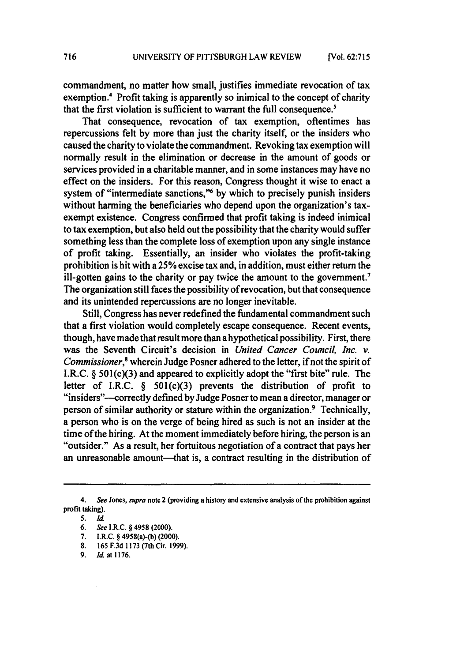commandment, no matter how small, justifies immediate revocation of tax exemption.<sup>4</sup> Profit taking is apparently so inimical to the concept of charity that the first violation is sufficient to warrant the full consequence.'

That consequence, revocation of tax exemption, oftentimes has repercussions felt **by** more than just the charity itself, or the insiders who caused the charity to violate the commandment. Revoking tax exemption will normally result in the elimination or decrease in the amount of goods or services provided in a charitable manner, and in some instances may have no effect on the insiders. For this reason, Congress thought it wise to enact a system of "intermediate sanctions,"6 **by** which to precisely punish insiders without harming the beneficiaries who depend upon the organization's taxexempt existence. Congress confirmed that profit taking is indeed inimical to tax exemption, but also held out the possibility that the charity would suffer something less than the complete loss of exemption upon any single instance of profit taking. Essentially, an insider who violates the profit-taking prohibition is hit with a 25% excise tax and, in addition, must either return the ill-gotten gains to the charity or pay twice the amount to the government.' The organization still faces the possibility of revocation, but that consequence and its unintended repercussions are no longer inevitable.

Still, Congress has never redefined the fundamental commandment such that a first violation would completely escape consequence. Recent events, though, have made that result more than a hypothetical possibility. First, there was the Seventh Circuit's decision in *United Cancer Council, Inc. v. Commissioner,'* wherein Judge Posner adhered to the letter, if not the spirit of I.R.C. § 501(c)(3) and appeared to explicitly adopt the "first bite" rule. The letter of I.R.C.  $\delta$  501(c)(3) prevents the distribution of profit to "insiders"---correctly defined **by** Judge Posner to mean a director, manager or person of similar authority or stature within the organization.<sup>9</sup> Technically, a person who is on the verge of being hired as such is not an insider at the time of the hiring. At the moment immediately before hiring, the person is an "outsider." As a result, her fortuitous negotiation of a contract that pays her an unreasonable amount—that is, a contract resulting in the distribution of

<sup>4.</sup> *See* Jones, *supra* note 2 (providing a history and extensive analysis of the prohibition against profit taking).

*<sup>5.</sup>* **Id.**

**<sup>6.</sup> See** I.R.C. § **4958** (2000).

**<sup>7.</sup>** I.R.C. § 4958(a)-(b) (2000).

**<sup>8. 165</sup> F.3d 1173** (7th Cir. **1999).**

**<sup>9.</sup> Id** at **1176.**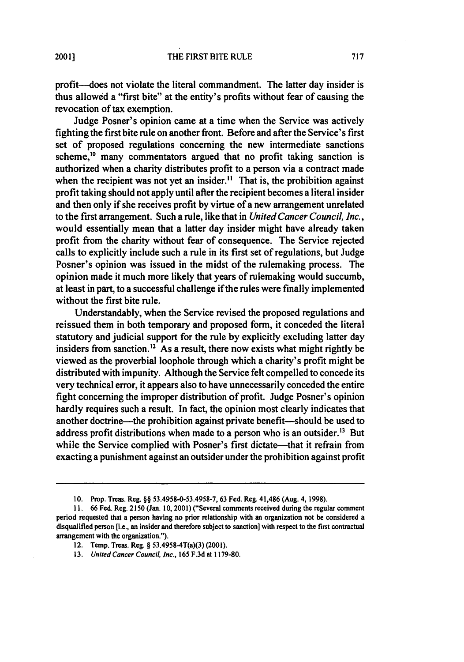profit--does not violate the literal commandment. The latter day insider is thus allowed a "first bite" at the entity's profits without fear of causing the revocation of tax exemption.

Judge Posner's opinion came at a time when the Service was actively fighting the first bite rule on another front. Before and after the Service's first set of proposed regulations concerning the new intermediate sanctions scheme,<sup>10</sup> many commentators argued that no profit taking sanction is authorized when a charity distributes profit to a person via a contract made when the recipient was not yet an insider.<sup>11</sup> That is, the prohibition against profit taking should not apply until after the recipient becomes a literal insider and then only if she receives profit **by** virtue of a new arrangement unrelated to the first arrangement. Such a rule, like that in *United Cancer Council, Inc.,* would essentially mean that a latter day insider might have already taken profit from the charity without fear of consequence. The Service rejected calls to explicitly include such a rule in its first set of regulations, but Judge Posner's opinion was issued in the midst of the rulemaking process. The opinion made it much more likely that years of rulemaking would succumb, at least in part, to a successful challenge if the rules were finally implemented without the first bite rule.

Understandably, when the Service revised the proposed regulations and reissued them in both temporary and proposed form, it conceded the literal statutory and judicial support for the rule **by** explicitly excluding latter day insiders from sanction.<sup>12</sup> As a result, there now exists what might rightly be viewed as the proverbial loophole through which a charity's profit might be distributed with impunity. Although the Service felt compelled to concede its very technical error, it appears also to have unnecessarily conceded the entire fight concerning the improper distribution of profit. Judge Posner's opinion hardly requires such a result. In fact, the opinion most clearly indicates that another doctrine—the prohibition against private benefit—should be used to address profit distributions when made to a person who is an outsider.<sup>13</sup> But while the Service complied with Posner's first dictate—that it refrain from exacting a punishment against an outsider under the prohibition against profit

**<sup>10.</sup>** Prop. Treas. Reg. §§ **53.4958-0-53.4958-7, 63 Fed.** Reg. 41,486 (Aug. 4, **1998).**

**<sup>11.</sup>** 66 **Fed.** Reg. **2150** (Jan. **10, 2001)** ("Several comments received during the regular comment period requested that a person having no prior relationship with an organization not be considered a disqualified person [i.e., an insider and therefore subject to sanction] with respect to the first contractual arrangement with the organization.").

<sup>12.</sup> Temp. Treas. Reg. § 53.4958-4T(a)(3)(2001).

*<sup>13.</sup>* United Cancer Council, Inc., **165 F.3d** at **1179-80.**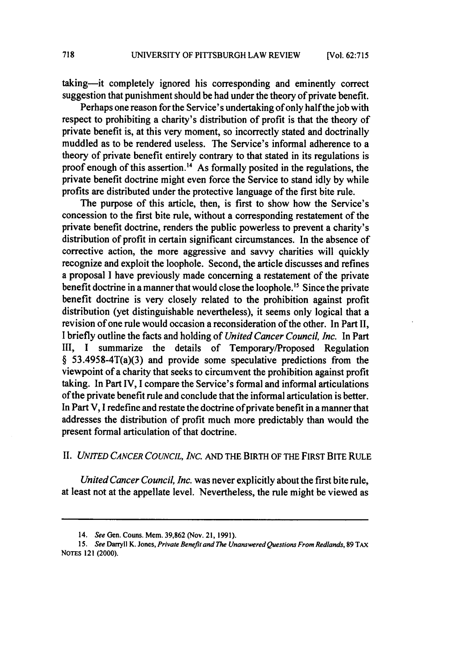taking-it completely ignored his corresponding and eminently correct suggestion that punishment should be had under the theory of private benefit.

Perhaps one reason for the Service's undertaking of only half the job with respect to prohibiting a charity's distribution of profit is that the theory of private benefit is, at this very moment, so incorrectly stated and doctrinally muddled as to be rendered useless. The Service's informal adherence to a theory of private benefit entirely contrary to that stated in its regulations is proof enough of this assertion.<sup>14</sup> As formally posited in the regulations, the private benefit doctrine might even force the Service to stand idly by while profits are distributed under the protective language of the first bite rule.

The purpose of this article, then, is first to show how the Service's concession to the first bite rule, without a corresponding restatement of the private benefit doctrine, renders the public powerless to prevent a charity's distribution of profit in certain significant circumstances. In the absence of corrective action, the more aggressive and savvy charities will quickly recognize and exploit the loophole. Second, the article discusses and refines a proposal I have previously made concerning a restatement of the private benefit doctrine in a manner that would close the loophole.<sup>15</sup> Since the private benefit doctrine is very closely related to the prohibition against profit distribution (yet distinguishable nevertheless), it seems only logical that a revision of one rule would occasion a reconsideration of the other. In Part **11,** I briefly outline the facts and holding of *United Cancer Council, Inc.* In Part III, I summarize the details of Temporary/Proposed Regulation  $§$  53.4958-4T(a)(3) and provide some speculative predictions from the viewpoint of a charity that seeks to circumvent the prohibition against profit taking. In Part IV, I compare the Service's formal and informal articulations of the private benefit rule and conclude that the informal articulation is better. In Part V, I redefine and restate the doctrine of private benefit in a manner that addresses the distribution of profit much more predictably than would the present formal articulation of that doctrine.

II. *UNITED CANCER COUNCIL, INC.* **AND THE** BIRTH OF THE FIRST BITE RULE

*United Cancer Council, Inc.* was never explicitly about the first bite rule, at least not at the appellate level. Nevertheless, the rule might be viewed as

<sup>14.</sup> See Gen. Couns. Mem. **39,862** (Nov. 21, 1991).

**<sup>15.</sup> See** Danyll K. Jones, **Private Benefit and The Unanswered Questions From Redlands, 89** TAX **NOTEs 121 (2000).**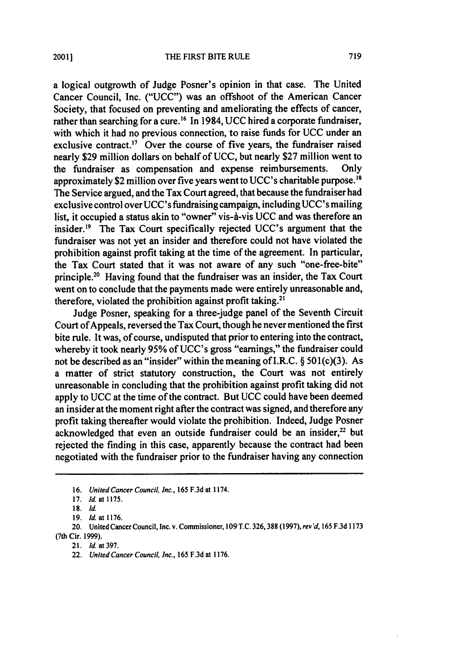a logical outgrowth of Judge Posner's opinion in that case. The United Cancer Council, Inc. **("UCC")** was an offshoot of the American Cancer Society, that focused on preventing and ameliorating the effects of cancer, rather than searching for a cure.<sup>16</sup> In 1984, UCC hired a corporate fundraiser, with which it had no previous connection, to raise funds for **UCC** under an exclusive contract.<sup>17</sup> Over the course of five years, the fundraiser raised nearly **\$29** million dollars on behalf of **UCC,** but nearly **\$27** million went to the fundraiser as compensation and expense reimbursements. Only approximately \$2 million over five years went to UCC's charitable purpose.<sup>18</sup> The Service argued, and the Tax Court agreed, that because the fundraiser had exclusive control overUCC's fundraising campaign, including UCC's mailing list, it occupied a status akin to "owner" vis-à-vis UCC and was therefore an insider.'9 The Tax Court specifically rejected UCC's argument that the fundraiser was not yet an insider and therefore could not have violated the prohibition against profit taking at the time of the agreement. In particular, the Tax Court stated that it was not aware of any such "one-free-bite" principle.<sup>20</sup> Having found that the fundraiser was an insider, the Tax Court went on to conclude that the payments made were entirely unreasonable and, therefore, violated the prohibition against profit taking.<sup>21</sup>

Judge Posner, speaking for a three-judge panel of the Seventh Circuit Court of Appeals, reversed the Tax Court, though he never mentioned the first bite rule. It was, of course, undisputed that prior to entering into the contract, whereby it took nearly **95%** of UCC's gross "earnings," the fundraiser could not be described as an "insider" within the meaning of I.R.C.  $\S 501(c)(3)$ . As a matter of strict statutory construction, the Court was not entirely unreasonable in concluding that the prohibition against profit taking did not apply to **UCC** at the time of the contract. But **UCC** could have been deemed an insider at the moment right after the contract was signed, and therefore any profit taking thereafter would violate the prohibition. Indeed, Judge Posner acknowledged that even an outside fundraiser could be an insider.<sup>22</sup> but rejected the finding in this case, apparently because the contract had been negotiated with the fundraiser prior to the fundraiser having any connection

**<sup>16.</sup>** United Cancer Council, Inc., **165 F.3d** at **1174.**

**<sup>17.</sup> Id.** at **1175.**

**<sup>18.</sup>** *Id.*

**<sup>19.</sup> Id. at 1176.**

<sup>20.</sup> United Cancer Council, Inc. v. Commissioner, 109 T.C. 326,388 (1997), rev 'd, **165 F.3d 1173** (7th Cir. **1999).**

<sup>21.</sup> **ld.** at **397.**

<sup>22.</sup> United Cancer Council, Inc., **165 F.3d** at **1176.**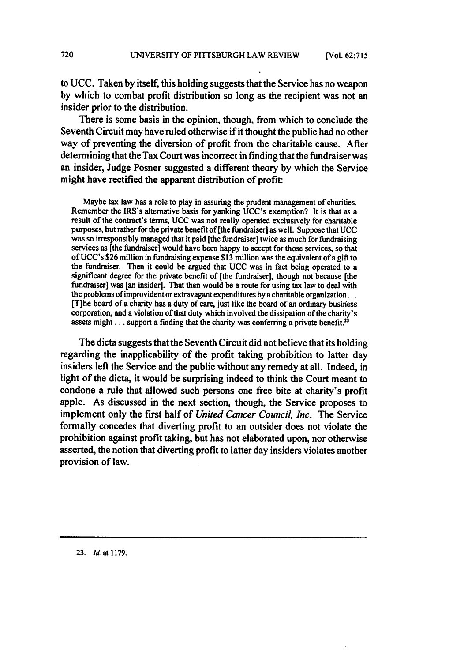to **UCC.** Taken **by** itself, this holding suggests that the Service has no weapon **by** which to combat profit distribution so long as the recipient was not an insider prior to the distribution.

There is some basis in the opinion, though, from which to conclude the Seventh Circuit may have ruled otherwise if it thought the public had no other way of preventing the diversion of profit from the charitable cause. After determining that the Tax Court was incorrect in finding that the fundraiser was an insider, Judge Posner suggested a different theory **by** which the Service might have rectified the apparent distribution of profit:

Maybe tax law has a role to play in assuring the prudent management of charities. Remember the IRS's alternative basis for yanking UCC's exemption? It is that as a result of the contract's terms, UCC was not really operated exclusively for charitable purposes, but rather for the private benefit of [the fundraiser] as well. Suppose that UCC services as [the fundraiser] would have been happy to accept for those services, so that of UCC's \$26 million in fundraising expense **\$13** million was the equivalent of a gift to the fundraiser. Then it could be argued that **UCC** was in fact being operated to a significant degree for the private benefit of [the fundraiser], though not because [the fundraiser] was [an insider]. That then would be a route for using tax law to deal with the problems of improvidentor extravagant expenditures **by** acharitable organization... [Tlhe board of a charity has a duty of care, just like the board of an ordinary business corporation, and a violation of that duty which involved the dissipation of the charity's assets might... support a finding that the charity was conferring a private benefit.<sup>23</sup>

The dicta suggests that the Seventh Circuit did not believe that its holding regarding the inapplicability of the profit taking prohibition to latter day insiders left the Service and the public without any remedy at all. Indeed, in light of the dicta, it would be surprising indeed to think the Court meant to condone a rule that allowed such persons one free bite at charity's profit apple. As discussed in the next section, though, the Service proposes to implement only the first half of *United Cancer Council, Inc.* The Service formally concedes that diverting profit to an outsider does not violate the prohibition against profit taking, but has not elaborated upon, nor otherwise asserted, the notion that diverting profit to latter day insiders violates another provision of law.

**23.** *Id.* at **1179.**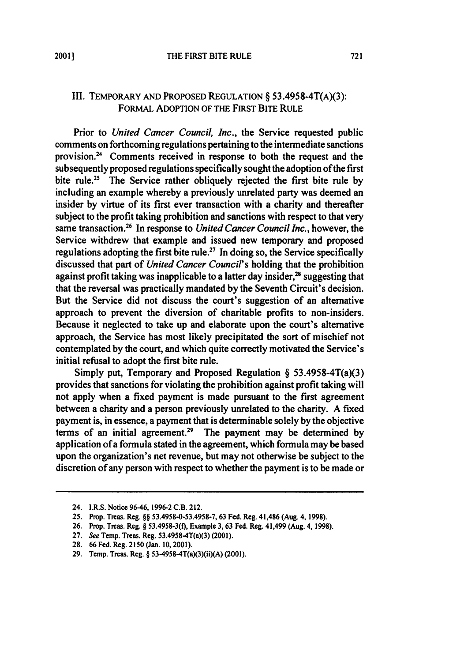## III. TEMPORARY AND PROPOSED REGULATION § 53.4958-4T(A)(3): FORMAL ADOPTION OF THE FIRST BITE RULE

Prior to *United Cancer Council, Inc.,* the Service requested public comments on forthcoming regulations pertaining to the intermediate sanctions provision.24 Comments received in response to both the request and the subsequently proposed regulations specifically sought the adoption of the first bite rule.<sup>25</sup> The Service rather obliquely rejected the first bite rule by including an example whereby a previously unrelated party was deemed an insider **by** virtue of its first ever transaction with a charity and thereafter subject to the profit taking prohibition and sanctions with respect to that very same transaction.26 **In** response to *United Cancer Council Inc.,* however, the Service withdrew that example and issued new temporary and proposed regulations adopting the first bite rule.<sup>27</sup> In doing so, the Service specifically discussed that part of *United Cancer Council's* holding that the prohibition against profit taking was inapplicable to a latter day insider, $^{28}$  suggesting that that the reversal was practically mandated **by** the Seventh Circuit's decision. But the Service did not discuss the court's suggestion of an alternative approach to prevent the diversion of charitable profits to non-insiders. Because it neglected to take up and elaborate upon the court's alternative approach, the Service has most likely precipitated the sort of mischief not contemplated **by** the court, and which quite correctly motivated the Service's initial refusal to adopt the first bite rule.

Simply put, Temporary and Proposed Regulation § 53.4958-4T(a)(3) provides that sanctions for violating the prohibition against profit taking will not apply when a fixed payment is made pursuant to the first agreement between a charity and a person previously unrelated to the charity. **A** fixed payment is, in essence, a payment that is determinable solely **by** the objective terms of an initial agreement.<sup>29</sup> The payment may be determined by application of a formula stated in the agreement, which formula may be based upon the organization's net revenue, but may not otherwise be subject to the discretion of any person with respect to whether the payment is to be made or

<sup>24.</sup> I.R.S. Notice **96-46, 1996-2** C.B. 212.

**<sup>25.</sup>** Prop. Treas. Reg. §§ **53.4958-0-53.4958-7,** 63 **Fed. Reg.** 41,486 (Aug. 4, **1998).**

**<sup>26.</sup>** Prop. Treas. Reg. § **53.4958-3(f),** Example **3,** 63 Fed. Reg. 41,499 (Aug. 4, **1998).**

**<sup>27.</sup>** See **Temp.** Treas. Reg. 53.4958-4T(a)(3) (2001).

**<sup>28.</sup>** 66Fed. Reg. 2150(Jan. 10,2001).

**<sup>29.</sup>** Temp. Treas. Reg. § 53-4958-4T(a)(3)(ii)(A) (2001).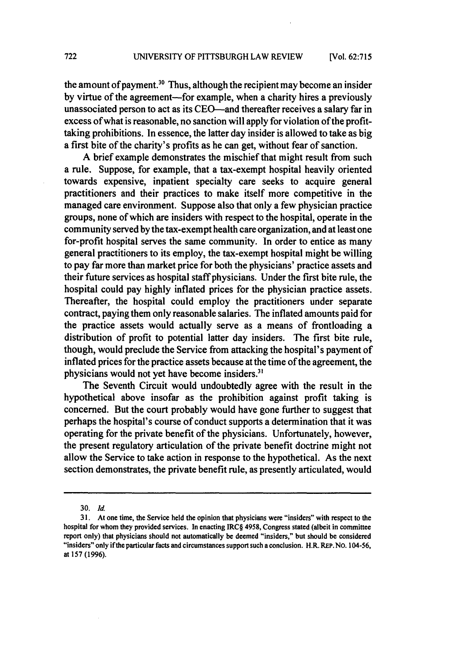the amount of payment.<sup>30</sup> Thus, although the recipient may become an insider by virtue of the agreement-for example, when a charity hires a previously unassociated person to act as its CEO—and thereafter receives a salary far in excess of what is reasonable, no sanction will apply for violation of the profittaking prohibitions. In essence, the latter day insider is allowed to take as big a first bite of the charity's profits as he can get, without fear of sanction.

A brief example demonstrates the mischief that might result from such a rule. Suppose, for example, that a tax-exempt hospital heavily oriented towards expensive, inpatient specialty care seeks to acquire general practitioners and their practices to make itself more competitive in the managed care environment. Suppose also that only a few physician practice groups, none of which are insiders with respect to the hospital, operate in the community served by the tax-exempt health care organization, and at least one for-profit hospital serves the same community. In order to entice as many general practitioners to its employ, the tax-exempt hospital might be willing to pay far more than market price for both the physicians' practice assets and their future services as hospital staff physicians. Under the first bite rule, the hospital could pay highly inflated prices for the physician practice assets. Thereafter, the hospital could employ the practitioners under separate contract, paying them only reasonable salaries. The inflated amounts paid for the practice assets would actually serve as a means of frontloading a distribution of profit to potential latter day insiders. The first bite rule, though, would preclude the Service from attacking the hospital's payment of inflated prices for the practice assets because at the time of the agreement, the physicians would not yet have become insiders.<sup>31</sup>

The Seventh Circuit would undoubtedly agree with the result in the hypothetical above insofar as the prohibition against profit taking is concerned. But the court probably would have gone further to suggest that perhaps the hospital's course of conduct supports a determination that it was operating for the private benefit of the physicians. Unfortunately, however, the present regulatory articulation of the private benefit doctrine might not allow the Service to take action in response to the hypothetical. As the next section demonstrates, the private benefit rule, as presently articulated, would

**<sup>30.</sup>** *Id.*

<sup>31.</sup> Atone time, the Service held the opinion that physicians were "insiders" with respect to the hospital for whom they provided services. In enacting IRC§ **4958,** Congress stated (albeit in committee report only) that physicians should not automatically be deemed "insiders," but should be considered "insiders" only if the particular facts and circumstances support such a conclusion. H.R. REP. No. 104-56, at 157 (1996).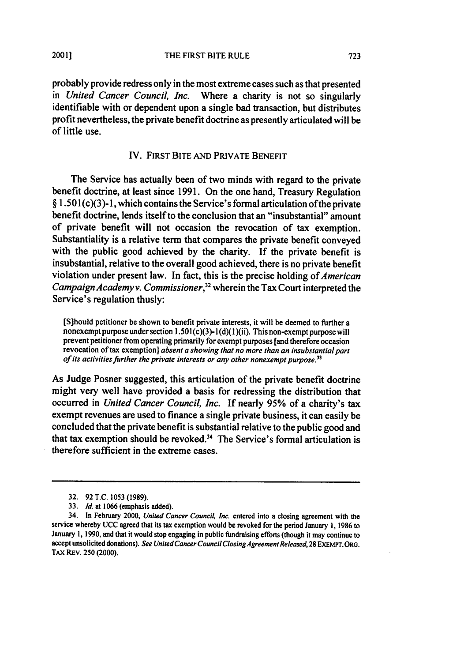**20011**

#### THE FIRST BITE RULE

probably provide redress only in the most extreme cases such as that presented in *United Cancer Council, Inc.* Where a charity is not so singularly identifiable with or dependent upon a single bad transaction, but distributes profit nevertheless, the private benefit doctrine as presently articulated will be of little use.

## IV. FIRST BITE **AND** PRIVATE **BENEFIT**

The Service has actually been of two minds with regard to the private benefit doctrine, at least since **1991.** On the one hand, Treasury Regulation § **1.501** (c)(3)- **1,** which contains the Service's formal articulation of the private benefit doctrine, lends itself to the conclusion that an "insubstantial" amount of private benefit will not occasion the revocation of tax exemption. Substantiality is a relative term that compares the private benefit conveyed with the public good achieved **by** the charity. If the private benefit is insubstantial, relative to the overall good achieved, there is no private benefit violation under present law. In fact, this is the precise holding of *American Campaign Academy v. Commissioner,32* wherein the Tax Court interpreted the Service's regulation thusly:

[S]hould petitioner be shown to benefit private interests, it will be deemed to further a nonexempt purpose under section 1.501 (c)(3)- **1** (d)(I)(ii). This non-exempt purpose will prevent petitioner from operating primarily for exempt purposes [and therefore occasion revocation of tax exemption] absent *a showing that no more than an insubstantial part of its activities further* the private interests or any other nonexempt purpose. <sup>33</sup>

As Judge Posner suggested, this articulation of the private benefit doctrine might very well have provided a basis for redressing the distribution that occurred in *United Cancer Council, Inc.* **If** nearly **95%** of a charity's tax exempt revenues are used to finance a single private business, it can easily be concluded that the private benefit is substantial relative to the public good and that tax exemption should be revoked.<sup>34</sup> The Service's formal articulation is therefore sufficient in the extreme cases.

**<sup>32. 92</sup> T.C. 1053 (1989).**

**<sup>33.</sup>** *Id.* at **1066** (emphasis added).

<sup>34.</sup> In February 2000, *United Cancer Council, Inc.* entered into a closing agreement with the service whereby **UCC** agreed that its tax exemption would be revoked for the period January **i, 1986** to January **1, 1990,** and that it would stop engaging in public fundraising efforts (though it may continue to accept unsolicited donations). *See United Cancer Council Closing Agreement* Released, **28 EXEMPT. ORG.** TAX REv. **250** (2000).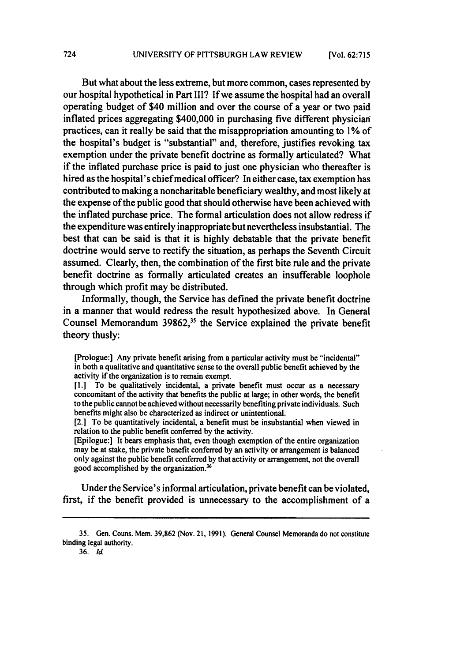But what about the less extreme, but more common, cases represented **by** our hospital hypothetical in Part **III? If** we assume the hospital had an overall operating budget of \$40 million and over the course of a year or two paid inflated prices aggregating \$400,000 in purchasing five different physician practices, can it really be said that the misappropriation amounting to **1%** of the hospital's budget is "substantial" and, therefore, justifies revoking tax exemption under the private benefit doctrine as formally articulated? What if the inflated purchase price is paid to just one physician who thereafter is hired as the hospital's chief medical officer? In either case, tax exemption has contributed to making a noncharitable beneficiary wealthy, and most likely at the expense of the public good that should otherwise have been achieved with the inflated purchase price. The formal articulation does not allow redress if the expenditure was entirely inappropriate but nevertheless insubstantial. The best that can be said is that it is **highly** debatable that the private benefit doctrine would serve to rectify the situation, as perhaps the Seventh Circuit assumed. Clearly, then, the combination of the first bite rule and the private benefit doctrine as formally articulated creates an insufferable loophole through which profit may be distributed.

Informally, though, the Service has defined the private benefit doctrine in a manner that would redress the result hypothesized above. In General Counsel Memorandum 39862,<sup>35</sup> the Service explained the private benefit theory thusly:

[Prologue:] Any private benefit arising from a particular activity must be "incidental" in both a qualitative and quantitative sense to the overall public benefit achieved **by** the activity if the organization is to remain exempt.

**[1.]** To **be** qualitatively incidental, a private benefit must occur as a necessary concomitant of the activity that benefits the public at large; in other words, the benefit to the public cannot be achieved without necessarily benefiting private individuals. Such benefits might also be characterized as indirect or unintentional.

[2.] To be quantitatively incidental, a benefit must be insubstantial when viewed in relation to the public benefit conferred **by** the activity.

[Epilogue:] It bears emphasis that, even though exemption of the entire organization may be at stake, the private benefit conferred **by** an activity or arrangement is balanced only against the public benefit conferred **by** that activity or arrangement, not the overall good accomplished **by** the organization.36

Under the Service's informal articulation, private benefit can be violated, first, if the benefit provided is unnecessary to the accomplishment of a

**<sup>35.</sup>** Gen. Couns. Mem. **39,862** (Nov. 21, **1991).** General Counsel Memoranda do not constitute binding legal authority.

**<sup>36.</sup>** Id.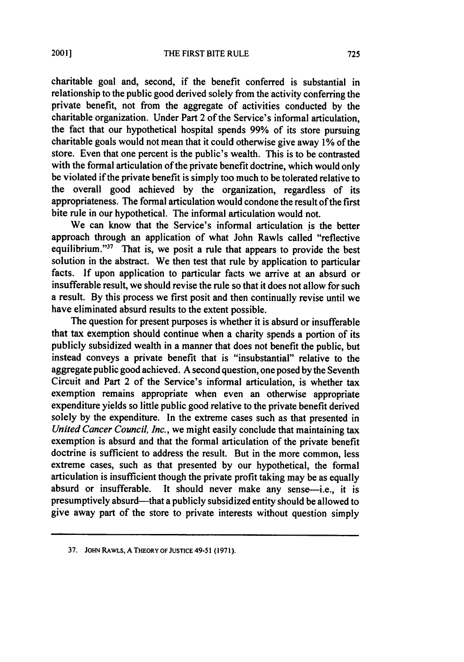charitable goal and, second, if the benefit conferred is substantial in relationship to the public good derived solely from the activity conferring the private benefit, not from the aggregate of activities conducted **by** the charitable organization. Under Part 2 of the Service's informal articulation, the fact that our hypothetical hospital spends **99%** of its store pursuing charitable goals would not mean that it could otherwise give away **1%** of the store. Even that one percent is the public's wealth. This is to be contrasted with the formal articulation of the private benefit doctrine, which would only be violated if the private benefit is simply too much to be tolerated relative to the overall good achieved **by** the organization, regardless of its appropriateness. The formal articulation would condone the result of the first bite rule in our hypothetical. The informal articulation would not.

We can know that the Service's informal articulation is the better approach through an application of what John Rawls called "reflective equilibrium."<sup>37</sup> That is, we posit a rule that appears to provide the best solution in the abstract. We then test that rule **by** application to particular facts. **If** upon application to particular facts we arrive at an absurd or insufferable result, we should revise the rule so that it does not allow for such a result. **By** this process we first posit and then continually revise until we have eliminated absurd results to the extent possible.

The question for present purposes is whether it is absurd or insufferable that tax exemption should continue when a charity spends a portion of its publicly subsidized wealth in a manner that does not benefit the public, but instead conveys a private benefit that is "insubstantial" relative to the aggregate public good achieved. **A** second question, one posed **by** the Seventh Circuit and Part 2 of the Service's informal articulation, is whether tax exemption remains appropriate when even an otherwise appropriate expenditure yields so little public good relative to the private benefit derived solely **by** the expenditure. In the extreme cases such as that presented in *United Cancer Council, Inc.,* we might easily conclude that maintaining tax exemption is absurd and that the formal articulation of the private benefit doctrine is sufficient to address the result. But in the more common, less extreme cases, such as that presented **by** our hypothetical, the formal articulation is insufficient though the private profit taking may be as equally absurd or insufferable. It should never make any sense—i.e., it is presumptively absurd—that a publicly subsidized entity should be allowed to give away part of the store to private interests without question simply

<sup>37.</sup> JOHN RAWLS, A THEORY OF JUSTICE 49-51 (1971).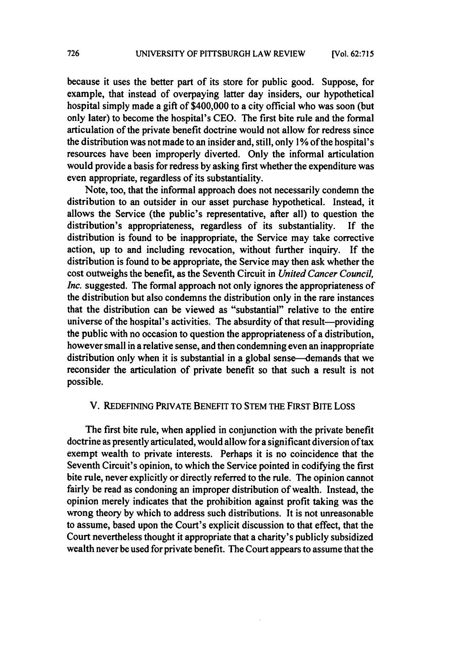because it uses the better part of its store for public good. Suppose, for example, that instead of overpaying latter day insiders, our hypothetical hospital simply made a gift of \$400,000 to a city official who was soon (but only later) to become the hospital's **CEO.** The first bite rule and the formal articulation of the private benefit doctrine would not allow for redress since the distribution was not made to an insider and, still, only **1%** of the hospital's resources have been improperly diverted. Only the informal articulation would provide a basis for redress **by** asking first whether the expenditure was even appropriate, regardless of its substantiality.

Note, too, that the informal approach does not necessarily condemn the distribution to an outsider in our asset purchase hypothetical. Instead, it allows the Service (the public's representative, after all) to question the distribution's appropriateness, regardless of its substantiality. If the distribution is found to be inappropriate, the Service may take corrective action, up to and including revocation, without further inquiry. If the distribution is found to be appropriate, the Service may then ask whether the cost outweighs the benefit, as the Seventh Circuit in *United Cancer Council, Inc.* suggested. The formal approach not only ignores the appropriateness of the distribution but also condemns the distribution only in the rare instances that the distribution can be viewed as "substantial" relative to the entire universe of the hospital's activities. The absurdity of that result-providing the public with no occasion to question the appropriateness of a distribution, however small in a relative sense, and then condemning even an inappropriate distribution only when it is substantial in a global sense—demands that we reconsider the articulation of private benefit so that such a result is not possible.

## V. **REDEFINING** PRIVATE **BENEFIT** TO **STEM** THE FIRST BITE LOSS

The first bite rule, when applied in conjunction with the private benefit doctrine as presently articulated, would allow for a significant diversion of tax exempt wealth to private interests. Perhaps it is no coincidence that the Seventh Circuit's opinion, to which the Service pointed in codifying the first bite rule, never explicitly or directly referred to the rule. The opinion cannot fairly be read as condoning an improper distribution of wealth. Instead, the opinion merely indicates that the prohibition against profit taking was the wrong theory **by** which to address such distributions. It is not unreasonable to assume, based upon the Court's explicit discussion to that effect, that the Court nevertheless thought it appropriate that a charity's publicly subsidized wealth never be used for private benefit. The Court appears to assume that the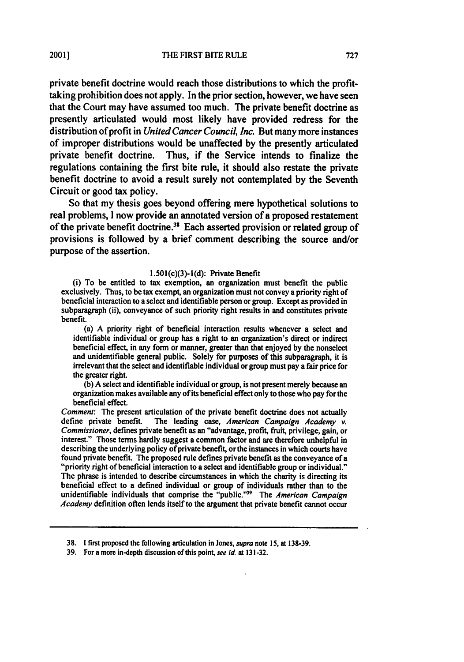private benefit doctrine would reach those distributions to which the profittaking prohibition does not apply. In the prior section, however, we have seen that the Court may have assumed too much. The private benefit doctrine as presently articulated would most likely have provided redress for the distribution of profit in *United Cancer Council, Inc.* But many more instances of improper distributions would be unaffected **by** the presently articulated private benefit doctrine. Thus, if the Service intends to finalize the regulations containing the first bite rule, it should also restate the private benefit doctrine to avoid a result surely not contemplated **by** the Seventh Circuit or good tax policy.

So that my thesis goes beyond offering mere hypothetical solutions to real problems, **I** now provide an annotated version of a proposed restatement of the private benefit doctrine.<sup>38</sup> Each asserted provision or related group of provisions is followed **by** a brief comment describing the source and/or purpose of the assertion.

#### !.501(c)(3)-1(d): Private Benefit

(i) To be entitled to tax exemption, an organization must benefit the public exclusively. Thus, to be tax exempt, an organization must not convey a priority right of beneficial interaction to a select and identifiable person or group. Except as provided in subparagraph (ii), conveyance of such priority right results in and constitutes private benefit.

(a) A priority right of beneficial interaction results whenever a select and identifiable individual or group has a right to an organization's direct or indirect beneficial effect, in any form or manner, greater than that enjoyed **by** the nonselect and unidentifiable general public. Solely for purposes of this subparagraph, it is irrelevant that the select and identifiable individual or group must pay a fair price for the greater right. **(b) A** select and identifiable individual or group, is not present merely because an

organization makes available any of its beneficial effect only to those who pay for the beneficial effect.

Comment: The present articulation of the private benefit doctrine does not actually define private benefit. The leading case, American Campaign Academy v. Commissioner, defines private benefit as an "advantage, profit, fruit, privilege, gain, or interest." Those terms hardly suggest a common factor and are therefore unhelpful in describing the underlying policy of private benefit, or the instances in which courts have<br>found private benefit. The proposed rule defines private benefit as the conveyance of a "priority right of beneficial interaction to a select and identifiable group or individual." The phrase is intended to describe circumstances in which the charity is directing its beneficial effect to a defined individual or group of individuals rather than to the unidentifiable individuals that comprise the "public."<sup>39</sup> The American Campaign Academy definition often lends itself to the argument that private benefit cannot occur

**<sup>38. 1</sup>** first proposed the following articulation in Jones, supra note **15,** at **138-39.**

**<sup>39.</sup>** For a more in-depth discussion of this point, **see** *id.* at **131-32.**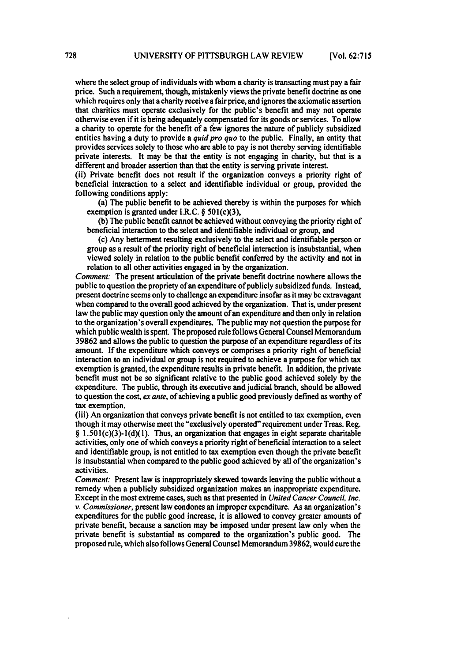where the select group of individuals with whom a charity is transacting must pay a fair price. Such a requirement, though, mistakenly views the private benefit doctrine as one which requires only that a charity receive a fair price, and ignores the axiomatic assertion that charities must operate exclusively for the public's benefit and may not operate otherwise even if it is being adequately compensated for its goods or services. To allow a charity to operate for the benefit of a few ignores the nature of publicly subsidized entities having a duty to provide a *quid pro quo* to the public. Finally, an entity that provides services solely to those who are able to pay is not thereby serving identifiable private interests. It may be that the entity is not engaging in charity, but that is a different and broader assertion than that the entity is serving private interest.

(ii) Private benefit does not result if the organization conveys a priority right of beneficial interaction to a select and identifiable individual or group, provided the following conditions apply:

(a) The public benefit to be achieved thereby is within the purposes for which exemption is granted under I.R.C. § 501(c)(3),

(b) The public benefit cannot be achieved without conveying the priority right of beneficial interaction to the select and identifiable individual or group, and

(c) Any betterment resulting exclusively to the select and identifiable person or group as a result of the priority right of beneficial interaction is insubstantial, when viewed solely in relation to the public benefit conferred **by** the activity and not in relation to all other activities engaged in by the organization.

*Comment:* The present articulation of the private benefit doctrine nowhere allows the public to question the propriety of an expenditure of publicly subsidized funds. Instead, present doctrine seems only to challenge an expenditure insofar as it may be extravagant when compared to the overall good achieved **by** the organization. That is, under present law the public may question only the amount of an expenditure and then only in relation to the organization's overall expenditures. The public may not question the purpose for which public wealth is spent. The proposed rule follows General Counsel Memorandum **39862** and allows the public to question the purpose of an expenditure regardless of its amount. If the expenditure which conveys or comprises a priority right of beneficial interaction to an individual or group is not required to achieve a purpose for which tax exemption is granted, the expenditure results in private benefit. In addition, the private benefit must not be so significant relative to the public good achieved solely **by** the expenditure. The public, through its executive and judicial branch, should be allowed to question the cost, *ex ante,* of achieving a public good previously defined as worthy of tax exemption.

(iii) An organization that conveys private benefit is not entitled to tax exemption, even though it may otherwise meet the "exclusively operated" requirement under Treas. Reg. §  $1.501(c)(3)-1(d)(1)$ . Thus, an organization that engages in eight separate charitable activities, only one of which conveys a priority right of beneficial interaction to a select and identifiable group, is not entitled to tax exemption even though the private benefit is insubstantial when compared to the public good achieved **by** all of the organization's activities.

Comment: Present law is inappropriately skewed towards leaving the public without a remedy when a publicly subsidized organization makes an inappropriate expenditure. Except in the most extreme cases, such as that presented in *United Cancer Council, Inc. v. Commissioner,* present law condones an improper expenditure. As an organization's expenditures for the public good increase, it is allowed to convey greater amounts of private benefit, because a sanction may be imposed under present law only when the private benefit is substantial as compared to the organization's public good. The proposed rule, which also follows General Counsel Memorandum 39862, would cure the